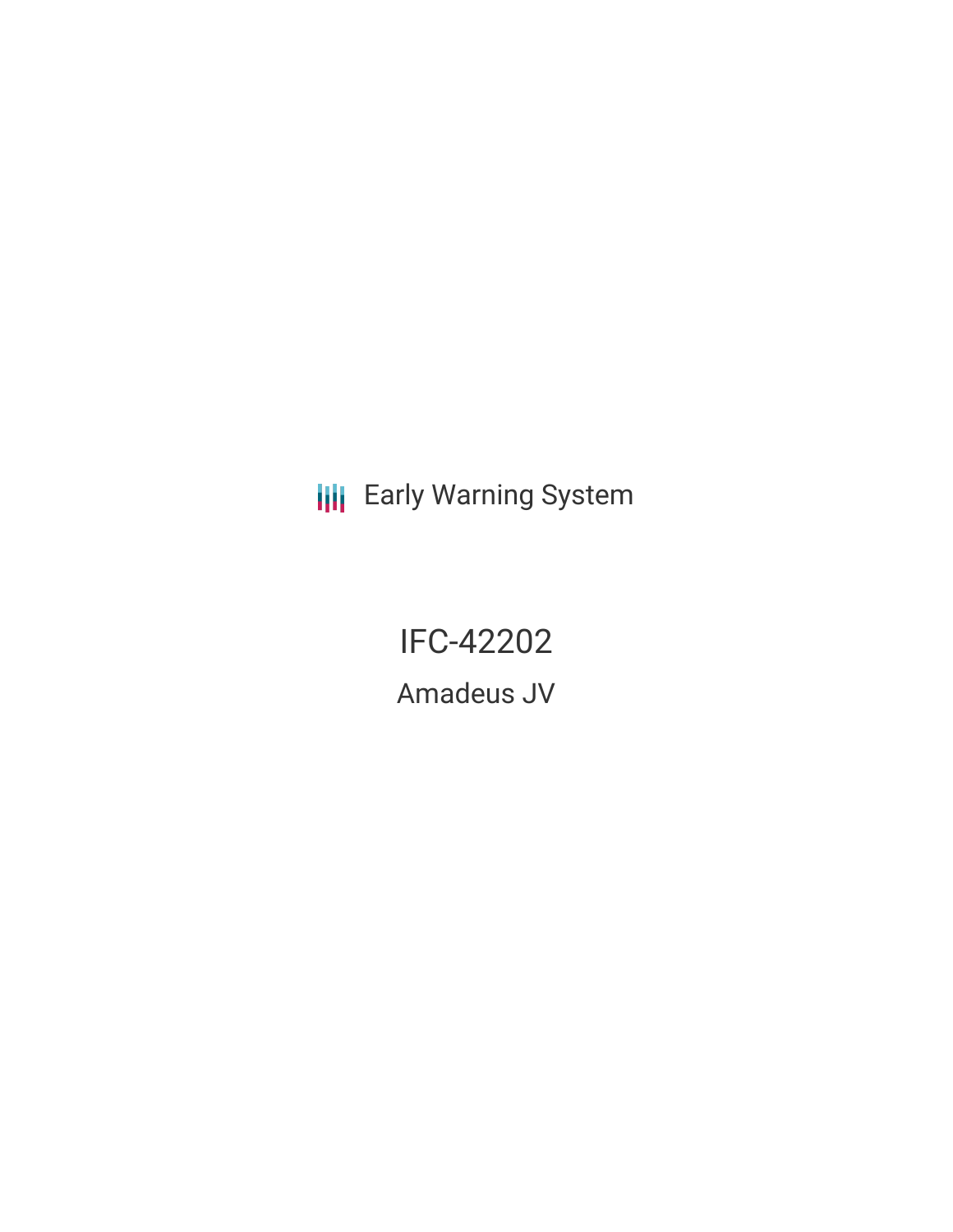**III** Early Warning System

IFC-42202

Amadeus JV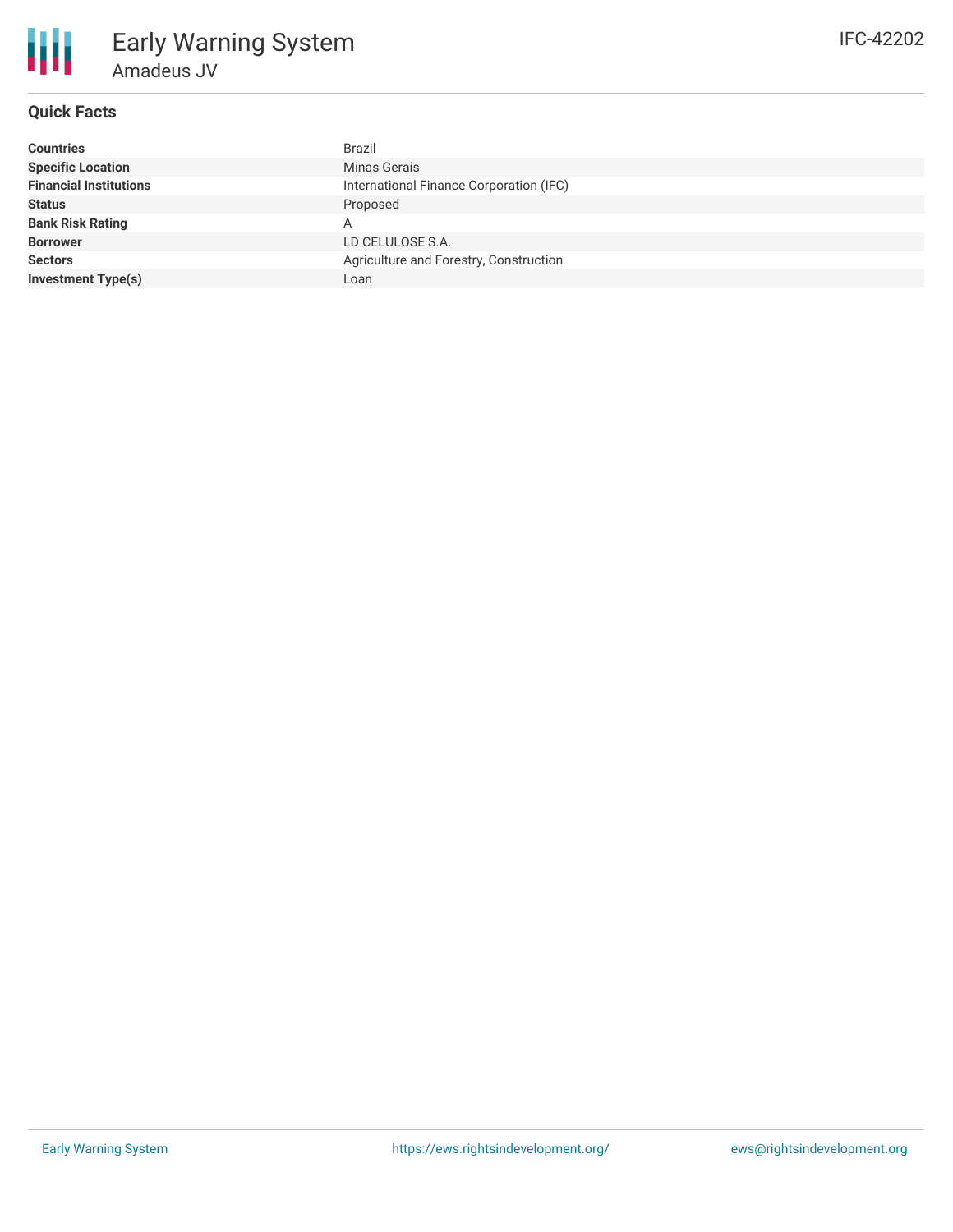## **Quick Facts**

| Countries                     | <b>Brazil</b>                           |
|-------------------------------|-----------------------------------------|
| <b>Specific Location</b>      | Minas Gerais                            |
| <b>Financial Institutions</b> | International Finance Corporation (IFC) |
| Status                        | Proposed                                |
| <b>Bank Risk Rating</b>       | А                                       |
| <b>Borrower</b>               | LD CELULOSE S.A.                        |
| <b>Sectors</b>                | Agriculture and Forestry, Construction  |
| Investment Type(s)            | Loan                                    |
|                               |                                         |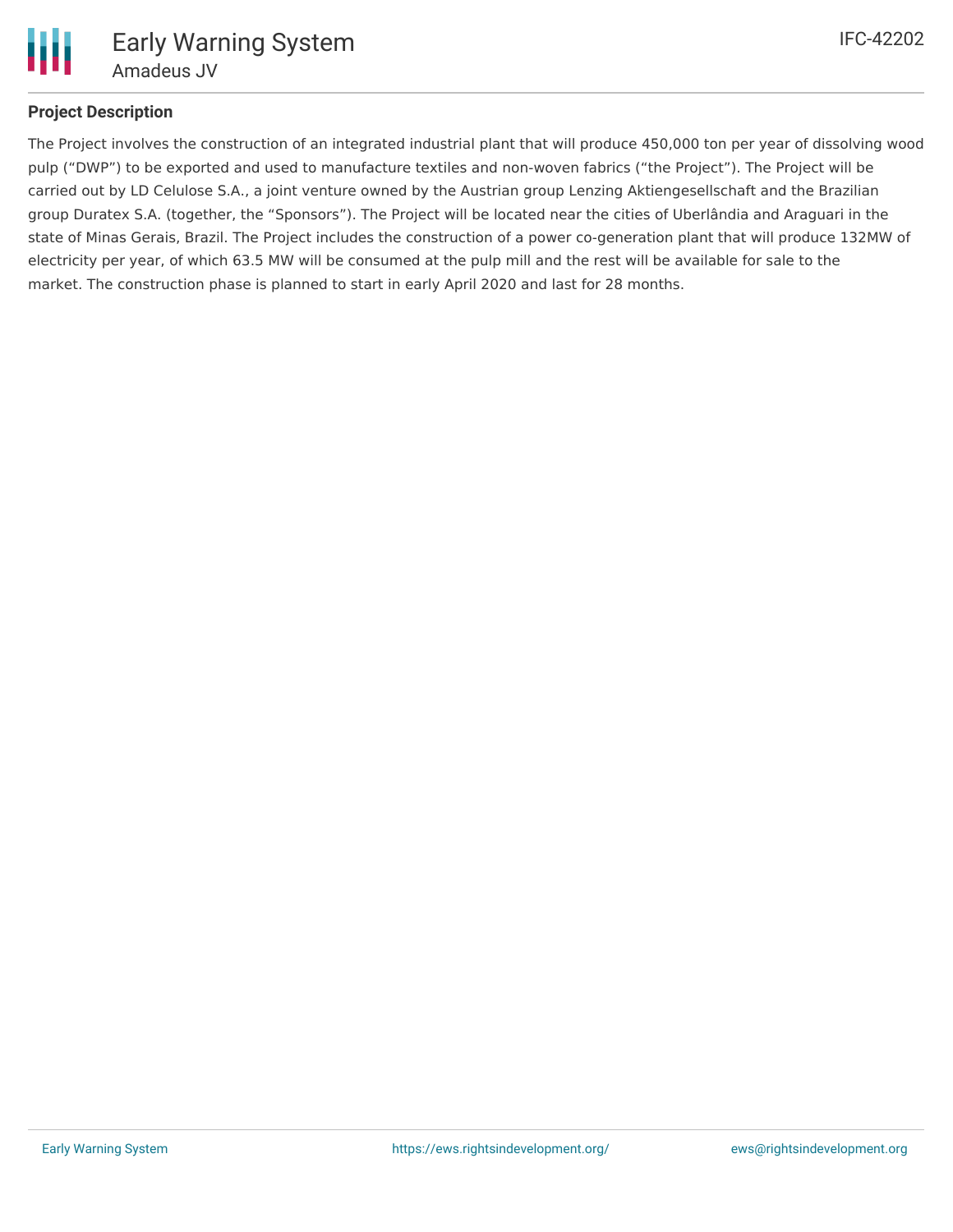

## **Project Description**

The Project involves the construction of an integrated industrial plant that will produce 450,000 ton per year of dissolving wood pulp ("DWP") to be exported and used to manufacture textiles and non-woven fabrics ("the Project"). The Project will be carried out by LD Celulose S.A., a joint venture owned by the Austrian group Lenzing Aktiengesellschaft and the Brazilian group Duratex S.A. (together, the "Sponsors"). The Project will be located near the cities of Uberlândia and Araguari in the state of Minas Gerais, Brazil. The Project includes the construction of a power co-generation plant that will produce 132MW of electricity per year, of which 63.5 MW will be consumed at the pulp mill and the rest will be available for sale to the market. The construction phase is planned to start in early April 2020 and last for 28 months.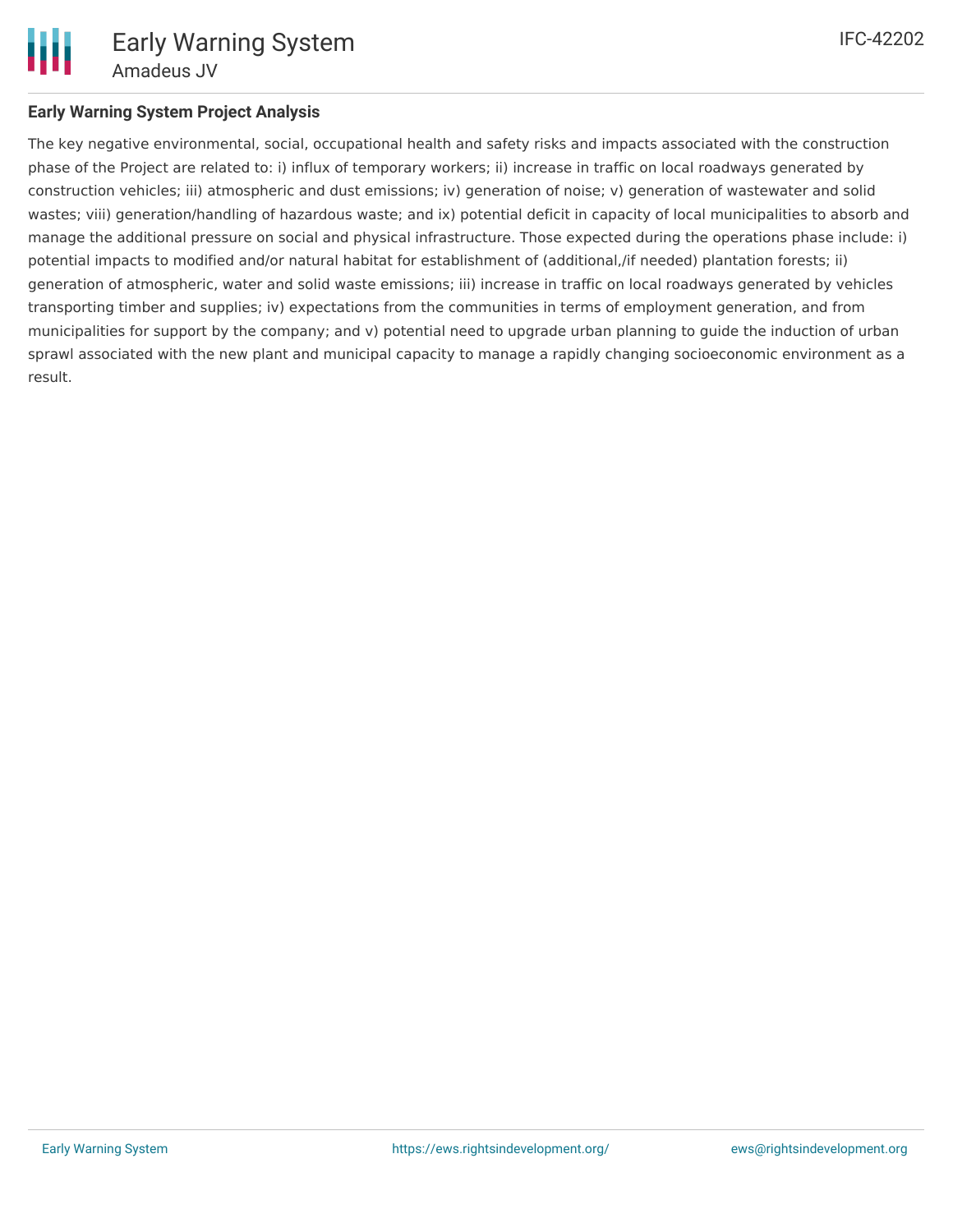The key negative environmental, social, occupational health and safety risks and impacts associated with the construction phase of the Project are related to: i) influx of temporary workers; ii) increase in traffic on local roadways generated by construction vehicles; iii) atmospheric and dust emissions; iv) generation of noise; v) generation of wastewater and solid wastes; viii) generation/handling of hazardous waste; and ix) potential deficit in capacity of local municipalities to absorb and manage the additional pressure on social and physical infrastructure. Those expected during the operations phase include: i) potential impacts to modified and/or natural habitat for establishment of (additional,/if needed) plantation forests; ii) generation of atmospheric, water and solid waste emissions; iii) increase in traffic on local roadways generated by vehicles transporting timber and supplies; iv) expectations from the communities in terms of employment generation, and from municipalities for support by the company; and v) potential need to upgrade urban planning to guide the induction of urban sprawl associated with the new plant and municipal capacity to manage a rapidly changing socioeconomic environment as a result.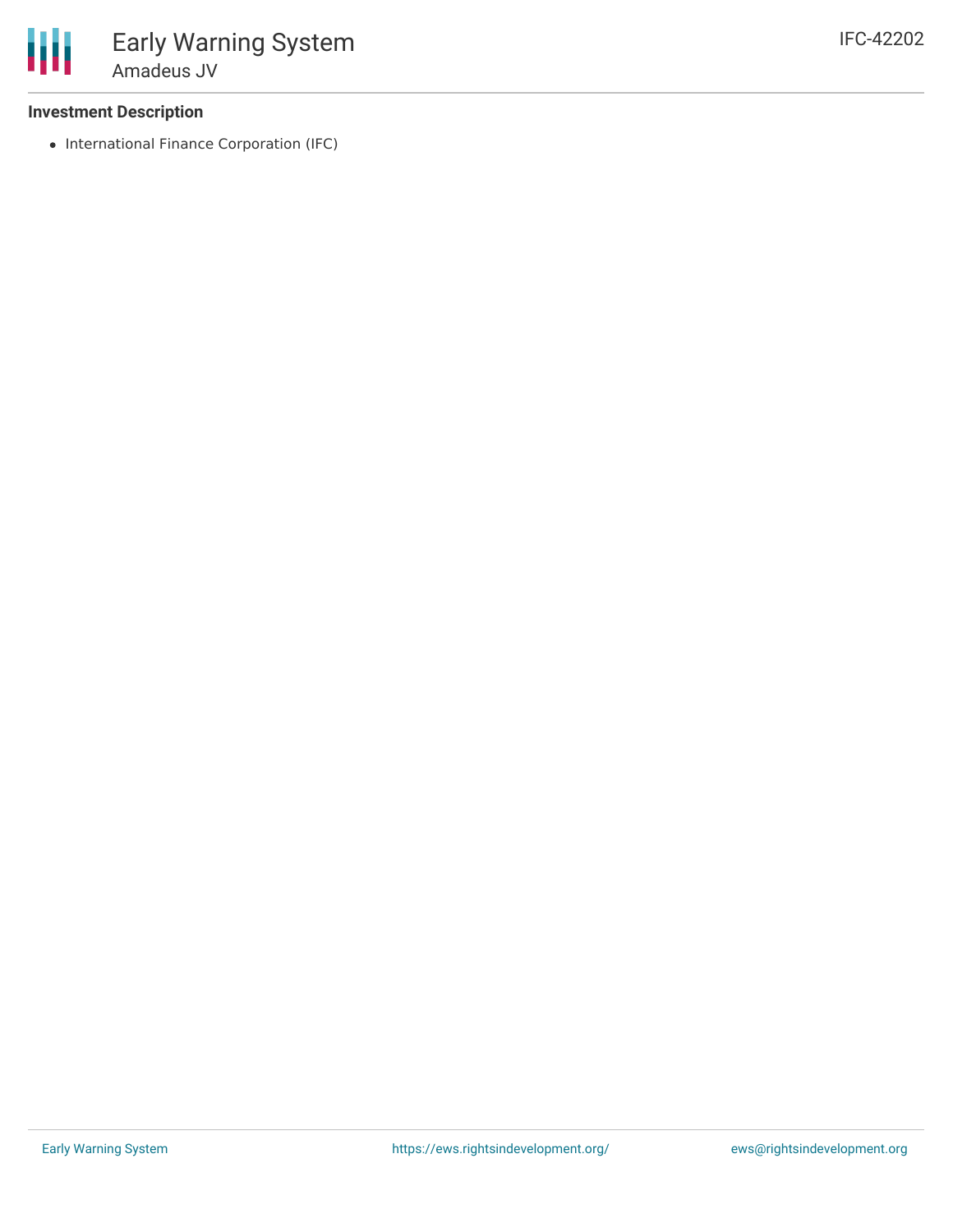• International Finance Corporation (IFC)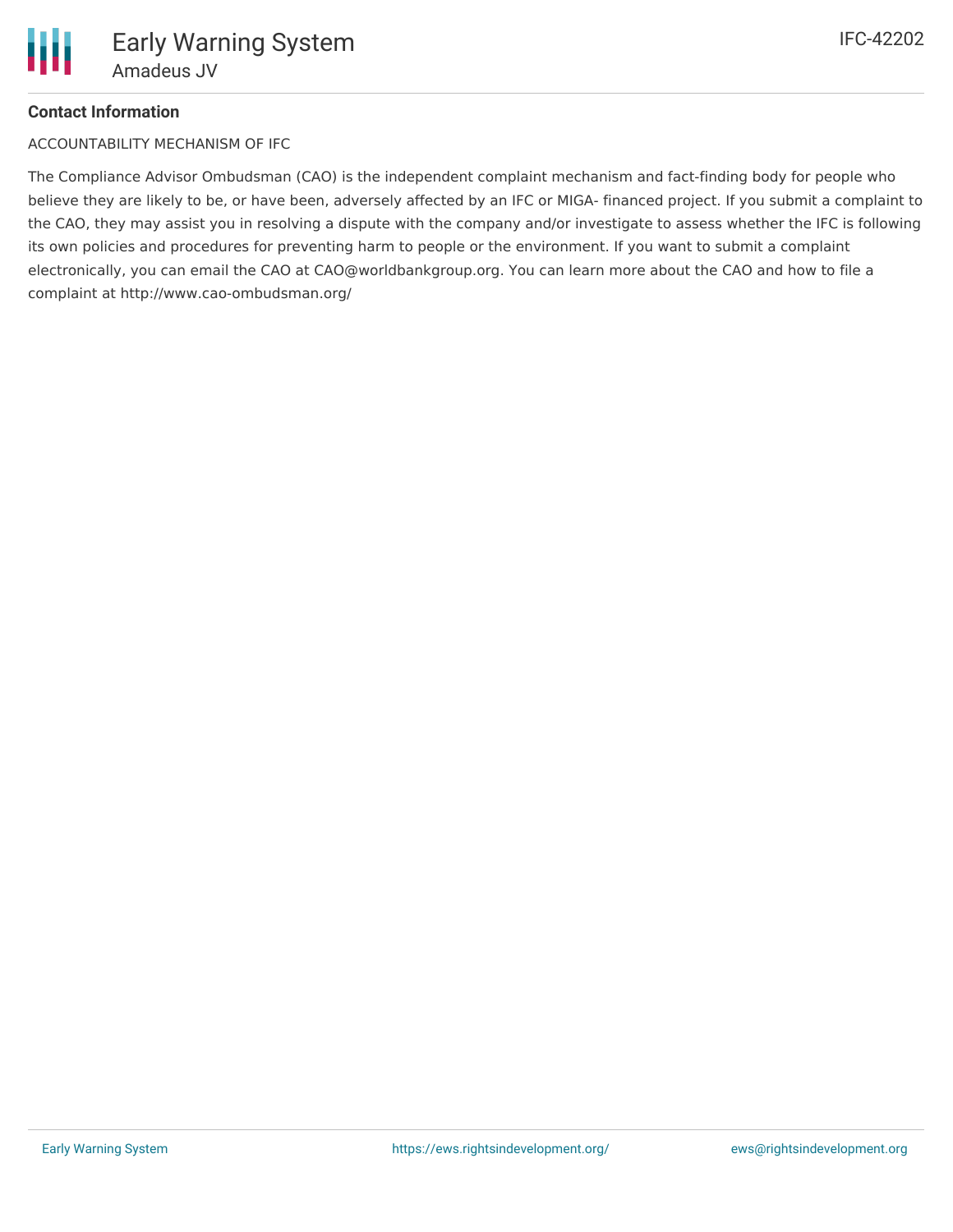## **Contact Information**

ACCOUNTABILITY MECHANISM OF IFC

The Compliance Advisor Ombudsman (CAO) is the independent complaint mechanism and fact-finding body for people who believe they are likely to be, or have been, adversely affected by an IFC or MIGA- financed project. If you submit a complaint to the CAO, they may assist you in resolving a dispute with the company and/or investigate to assess whether the IFC is following its own policies and procedures for preventing harm to people or the environment. If you want to submit a complaint electronically, you can email the CAO at CAO@worldbankgroup.org. You can learn more about the CAO and how to file a complaint at http://www.cao-ombudsman.org/